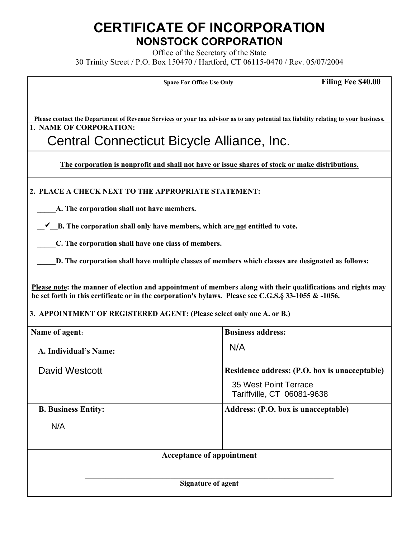# **CERTIFICATE OF INCORPORATION NONSTOCK CORPORATION**

Office of the Secretary of the State 30 Trinity Street / P.O. Box 150470 / Hartford, CT 06115-0470 / Rev. 05/07/2004

| <b>Space For Office Use Only</b> |  |  |  |  |
|----------------------------------|--|--|--|--|
|----------------------------------|--|--|--|--|

**Filing Fee \$40.00** 

**Please contact the Department of Revenue Services or your tax advisor as to any potential tax liability relating to your business. 1. NAME OF CORPORATION:**

# Central Connecticut Bicycle Alliance, Inc.

**The corporation is nonprofit and shall not have or issue shares of stock or make distributions.**

 **2. PLACE A CHECK NEXT TO THE APPROPRIATE STATEMENT:**

 **\_\_\_\_\_A. The corporation shall not have members.**

*L***\_B. The corporation shall only have members, which are not entitled to vote.** 

 **\_\_\_\_\_C. The corporation shall have one class of members.**

**D.** The corporation shall have multiple classes of members which classes are designated as follows:

 **Please note: the manner of election and appointment of members along with their qualifications and rights may be set forth in this certificate or in the corporation's bylaws. Please see C.G.S.§ 33-1055 & -1056.** 

## **3. APPOINTMENT OF REGISTERED AGENT: (Please select only one A. or B.)**

| Name of agent:                    | <b>Business address:</b>                                                                             |  |  |  |
|-----------------------------------|------------------------------------------------------------------------------------------------------|--|--|--|
| A. Individual's Name:             | N/A                                                                                                  |  |  |  |
| David Westcott                    | Residence address: (P.O. box is unacceptable)<br>35 West Point Terrace<br>Tariffville, CT 06081-9638 |  |  |  |
| <b>B. Business Entity:</b><br>N/A | Address: (P.O. box is unacceptable)                                                                  |  |  |  |
| <b>Acceptance of appointment</b>  |                                                                                                      |  |  |  |
| <b>Signature of agent</b>         |                                                                                                      |  |  |  |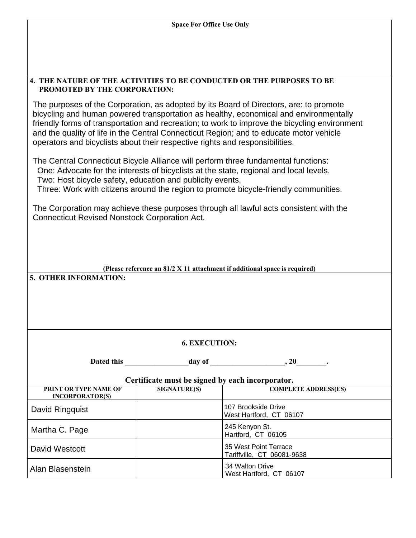| <b>Space For Office Use Only</b>                                                                                                                                                                                                                                                                                                                                                                                                                            |                     |                                                     |  |  |  |
|-------------------------------------------------------------------------------------------------------------------------------------------------------------------------------------------------------------------------------------------------------------------------------------------------------------------------------------------------------------------------------------------------------------------------------------------------------------|---------------------|-----------------------------------------------------|--|--|--|
|                                                                                                                                                                                                                                                                                                                                                                                                                                                             |                     |                                                     |  |  |  |
|                                                                                                                                                                                                                                                                                                                                                                                                                                                             |                     |                                                     |  |  |  |
|                                                                                                                                                                                                                                                                                                                                                                                                                                                             |                     |                                                     |  |  |  |
| <b>4. THE NATURE OF THE ACTIVITIES TO BE CONDUCTED OR THE PURPOSES TO BE</b><br>PROMOTED BY THE CORPORATION:                                                                                                                                                                                                                                                                                                                                                |                     |                                                     |  |  |  |
| The purposes of the Corporation, as adopted by its Board of Directors, are: to promote<br>bicycling and human powered transportation as healthy, economical and environmentally<br>friendly forms of transportation and recreation; to work to improve the bicycling environment<br>and the quality of life in the Central Connecticut Region; and to educate motor vehicle<br>operators and bicyclists about their respective rights and responsibilities. |                     |                                                     |  |  |  |
| The Central Connecticut Bicycle Alliance will perform three fundamental functions:<br>One: Advocate for the interests of bicyclists at the state, regional and local levels.<br>Two: Host bicycle safety, education and publicity events.<br>Three: Work with citizens around the region to promote bicycle-friendly communities.                                                                                                                           |                     |                                                     |  |  |  |
| The Corporation may achieve these purposes through all lawful acts consistent with the<br><b>Connecticut Revised Nonstock Corporation Act.</b>                                                                                                                                                                                                                                                                                                              |                     |                                                     |  |  |  |
| (Please reference an $81/2$ X 11 attachment if additional space is required)<br>5. OTHER INFORMATION:                                                                                                                                                                                                                                                                                                                                                       |                     |                                                     |  |  |  |
| <b>6. EXECUTION:</b>                                                                                                                                                                                                                                                                                                                                                                                                                                        |                     |                                                     |  |  |  |
| Dated this                                                                                                                                                                                                                                                                                                                                                                                                                                                  |                     | $\frac{1}{2}$ day of $\frac{1}{2}$ , 20             |  |  |  |
| Certificate must be signed by each incorporator.                                                                                                                                                                                                                                                                                                                                                                                                            |                     |                                                     |  |  |  |
| PRINT OR TYPE NAME OF<br><b>INCORPORATOR(S)</b>                                                                                                                                                                                                                                                                                                                                                                                                             | <b>SIGNATURE(S)</b> | <b>COMPLETE ADDRESS(ES)</b>                         |  |  |  |
| David Ringquist                                                                                                                                                                                                                                                                                                                                                                                                                                             |                     | 107 Brookside Drive<br>West Hartford, CT 06107      |  |  |  |
| Martha C. Page                                                                                                                                                                                                                                                                                                                                                                                                                                              |                     | 245 Kenyon St.<br>Hartford, CT 06105                |  |  |  |
| <b>David Westcott</b>                                                                                                                                                                                                                                                                                                                                                                                                                                       |                     | 35 West Point Terrace<br>Tariffville, CT_06081-9638 |  |  |  |
| Alan Blasenstein                                                                                                                                                                                                                                                                                                                                                                                                                                            |                     | 34 Walton Drive<br>West Hartford, CT 06107          |  |  |  |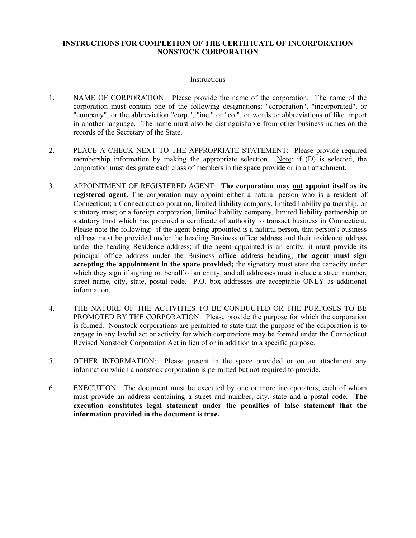#### **INSTRUCTIONS FOR COMPLETION OF THE CERTIFICATE OF INCORPORATION NONSTOCK CORPORATION**

#### Instructions

- 1. NAME OF CORPORATION: Please provide the name of the corporation. The name of the corporation must contain one of the following designations: "corporation", "incorporated", or "company", or the abbreviation "corp.", "inc." or "co.", or words or abbreviations of like import in another language. The name must also be distinguishable from other business names on the records of the Secretary of the State.
- 2. PLACE A CHECK NEXT TO THE APPROPRIATE STATEMENT: Please provide required membership information by making the appropriate selection. Note: if (D) is selected, the corporation must designate each class of members in the space provide or in an attachment.
- 3. APPOINTMENT OF REGISTERED AGENT: **The corporation may not appoint itself as its registered agent.** The corporation may appoint either a natural person who is a resident of Connecticut; a Connecticut corporation, limited liability company, limited liability partnership, or statutory trust; or a foreign corporation, limited liability company, limited liability partnership or statutory trust which has procured a certificate of authority to transact business in Connecticut. Please note the following: if the agent being appointed is a natural person, that person's business address must be provided under the heading Business office address and their residence address under the heading Residence address; if the agent appointed is an entity, it must provide its principal office address under the Business office address heading; **the agent must sign accepting the appointment in the space provided;** the signatory must state the capacity under which they sign if signing on behalf of an entity; and all addresses must include a street number, street name, city, state, postal code. P.O. box addresses are acceptable ONLY as additional information.
- 4. THE NATURE OF THE ACTIVITIES TO BE CONDUCTED OR THE PURPOSES TO BE PROMOTED BY THE CORPORATION: Please provide the purpose for which the corporation is formed. Nonstock corporations are permitted to state that the purpose of the corporation is to engage in any lawful act or activity for which corporations may be formed under the Connecticut Revised Nonstock Corporation Act in lieu of or in addition to a specific purpose.
- 5. OTHER INFORMATION: Please present in the space provided or on an attachment any information which a nonstock corporation is permitted but not required to provide.
- 6. EXECUTION: The document must be executed by one or more incorporators, each of whom must provide an address containing a street and number, city, state and a postal code. **The execution constitutes legal statement under the penalties of false statement that the information provided in the document is true.**